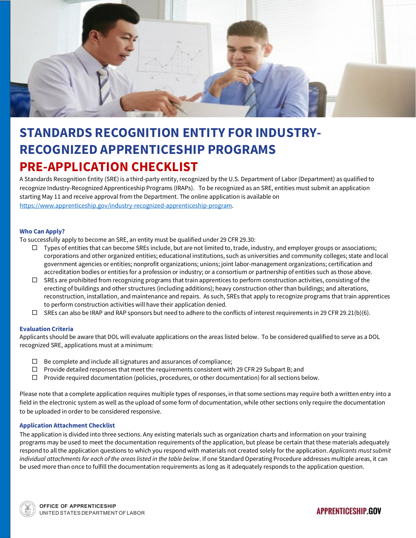

# **STANDARDS RECOGNITION ENTITY FOR INDUSTRY-RECOGNIZED APPRENTICESHIP PROGRAMS PRE-APPLICATION CHECKLIST**

A Standards Recognition Entity (SRE) is a third-party entity, recognized by the U.S. Department of Labor (Department) as qualified to recognize Industry-Recognized Apprenticeship Programs (IRAPs). To be recognized as an SRE, entities must submit an application starting May 11 and receive approval from the Department. The online application is available on [https://www.apprenticeship.gov/industry-recognized-apprenticeship-program.](https://urldefense.com/v3/__https:/gcc01.safelinks.protection.outlook.com/?url=https*3A*2F*2Fwww.apprenticeship.gov*2Findustry-recognized-apprenticeship-program&data=02*7C01*7Cmitchell.cierra*40dol.gov*7C8dbdfa1e2c2f472f47c008d7f741e1b5*7C75a6305472044e0c9126adab971d4aca*7C0*7C1*7C637249734640600339&sdata=q6vkX08oiKa0GXWOrvgqB7avBIoRvD3FSUf4mUSYUc4*3D&reserved=0__;JSUlJSUlJSUlJSUlJQ!!May37g!ZhJapRU8UmJAzmEllFb8L6ICXZLzFhj1aGM58k4aieVgYHuXfWzW0CGfQiq_NJ2J0Uy6sw$)

## **Who Can Apply?**

To successfully apply to become an SRE, an entity must be qualified under 29 CFR 29.30:

- $\Box$  Types of entities that can become SREs include, but are not limited to, trade, industry, and employer groups or associations; corporations and other organized entities; educational institutions, such as universities and community colleges; state and local government agencies or entities; nonprofit organizations; unions; joint labor-management organizations; certification and accreditation bodies or entities for a profession or industry; or a consortium or partnership of entities such as those above.
- $\square$  SREs are prohibited from recognizing programs that train apprentices to perform construction activities, consisting of the erecting of buildings and other structures (including additions); heavy construction other than buildings; and alterations, reconstruction, installation, and maintenance and repairs. As such, SREs that apply to recognize programs that train apprentices to perform construction activities will have their application denied.
- $\Box$  SREs can also be IRAP and RAP sponsors but need to adhere to the conflicts of interest requirements in 29 CFR 29.21(b)(6).

#### **Evaluation Criteria**

Applicants should be aware that DOL will evaluate applications on the areas listed below. To be considered qualified to serve as a DOL recognized SRE, applications must at a minimum:

- $\Box$  Be complete and include all signatures and assurances of compliance;
- $\Box$  Provide detailed responses that meet the requirements consistent with 29 CFR 29 Subpart B; and
- $\Box$  Provide required documentation (policies, procedures, or other documentation) for all sections below.

Please note that a complete application requires multiple types of responses, in that some sections may require both a written entry into a field in the electronic system as well as the upload of some form of documentation, while other sections only require the documentation to be uploaded in order to be considered responsive.

### **Application Attachment Checklist**

The application is divided into three sections. Any existing materials such as organization charts and information on your training programs may be used to meet the documentation requirements of the application, but please be certain that these materials adequately respond to all the application questions to which you respond with materials not created solely for the application. *Applicants must submit individual attachments for each of the areas listed in the table below*. If one Standard Operating Procedure addresses multiple areas, it can be used more than once to fulfill the documentation requirements as long as it adequately responds to the application question.